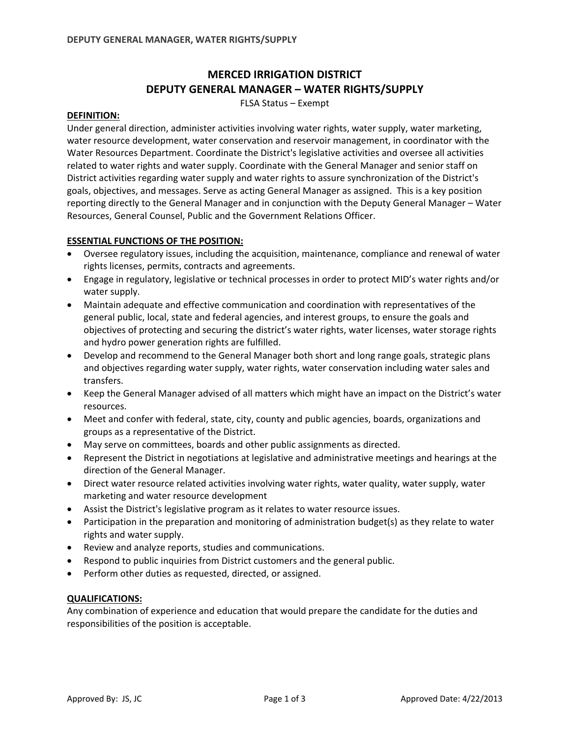# **MERCED IRRIGATION DISTRICT DEPUTY GENERAL MANAGER – WATER RIGHTS/SUPPLY**

FLSA Status – Exempt

#### **DEFINITION:**

Under general direction, administer activities involving water rights, water supply, water marketing, water resource development, water conservation and reservoir management, in coordinator with the Water Resources Department. Coordinate the District's legislative activities and oversee all activities related to water rights and water supply. Coordinate with the General Manager and senior staff on District activities regarding water supply and water rights to assure synchronization of the District's goals, objectives, and messages. Serve as acting General Manager as assigned. This is a key position reporting directly to the General Manager and in conjunction with the Deputy General Manager – Water Resources, General Counsel, Public and the Government Relations Officer.

## **ESSENTIAL FUNCTIONS OF THE POSITION:**

- Oversee regulatory issues, including the acquisition, maintenance, compliance and renewal of water rights licenses, permits, contracts and agreements.
- Engage in regulatory, legislative or technical processes in order to protect MID's water rights and/or water supply.
- Maintain adequate and effective communication and coordination with representatives of the general public, local, state and federal agencies, and interest groups, to ensure the goals and objectives of protecting and securing the district's water rights, water licenses, water storage rights and hydro power generation rights are fulfilled.
- Develop and recommend to the General Manager both short and long range goals, strategic plans and objectives regarding water supply, water rights, water conservation including water sales and transfers.
- Keep the General Manager advised of all matters which might have an impact on the District's water resources.
- Meet and confer with federal, state, city, county and public agencies, boards, organizations and groups as a representative of the District.
- May serve on committees, boards and other public assignments as directed.
- Represent the District in negotiations at legislative and administrative meetings and hearings at the direction of the General Manager.
- Direct water resource related activities involving water rights, water quality, water supply, water marketing and water resource development
- Assist the District's legislative program as it relates to water resource issues.
- Participation in the preparation and monitoring of administration budget(s) as they relate to water rights and water supply.
- Review and analyze reports, studies and communications.
- Respond to public inquiries from District customers and the general public.
- Perform other duties as requested, directed, or assigned.

## **QUALIFICATIONS:**

Any combination of experience and education that would prepare the candidate for the duties and responsibilities of the position is acceptable.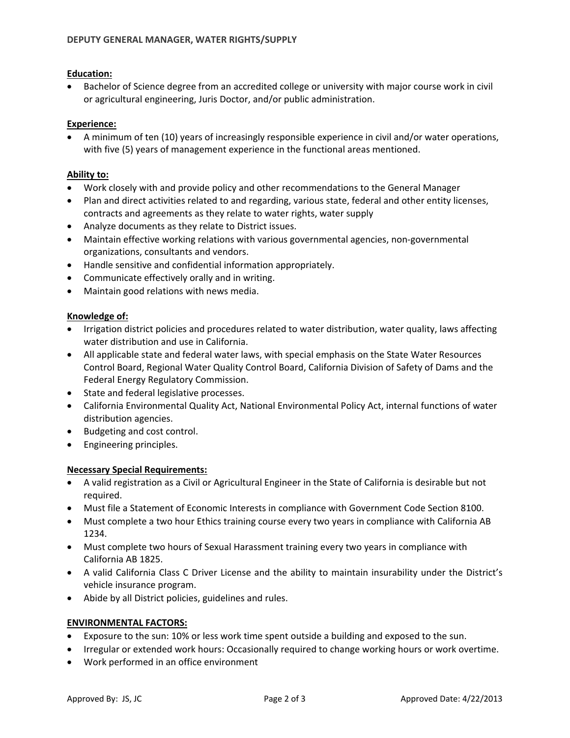## **Education:**

• Bachelor of Science degree from an accredited college or university with major course work in civil or agricultural engineering, Juris Doctor, and/or public administration.

## **Experience:**

• A minimum of ten (10) years of increasingly responsible experience in civil and/or water operations, with five (5) years of management experience in the functional areas mentioned.

# **Ability to:**

- Work closely with and provide policy and other recommendations to the General Manager
- Plan and direct activities related to and regarding, various state, federal and other entity licenses, contracts and agreements as they relate to water rights, water supply
- Analyze documents as they relate to District issues.
- Maintain effective working relations with various governmental agencies, non-governmental organizations, consultants and vendors.
- Handle sensitive and confidential information appropriately.
- Communicate effectively orally and in writing.
- Maintain good relations with news media.

# **Knowledge of:**

- Irrigation district policies and procedures related to water distribution, water quality, laws affecting water distribution and use in California.
- All applicable state and federal water laws, with special emphasis on the State Water Resources Control Board, Regional Water Quality Control Board, California Division of Safety of Dams and the Federal Energy Regulatory Commission.
- State and federal legislative processes.
- California Environmental Quality Act, National Environmental Policy Act, internal functions of water distribution agencies.
- Budgeting and cost control.
- Engineering principles.

## **Necessary Special Requirements:**

- A valid registration as a Civil or Agricultural Engineer in the State of California is desirable but not required.
- Must file a Statement of Economic Interests in compliance with Government Code Section 8100.
- Must complete a two hour Ethics training course every two years in compliance with California AB 1234.
- Must complete two hours of Sexual Harassment training every two years in compliance with California AB 1825.
- A valid California Class C Driver License and the ability to maintain insurability under the District's vehicle insurance program.
- Abide by all District policies, guidelines and rules.

## **ENVIRONMENTAL FACTORS:**

- Exposure to the sun: 10% or less work time spent outside a building and exposed to the sun.
- Irregular or extended work hours: Occasionally required to change working hours or work overtime.
- Work performed in an office environment